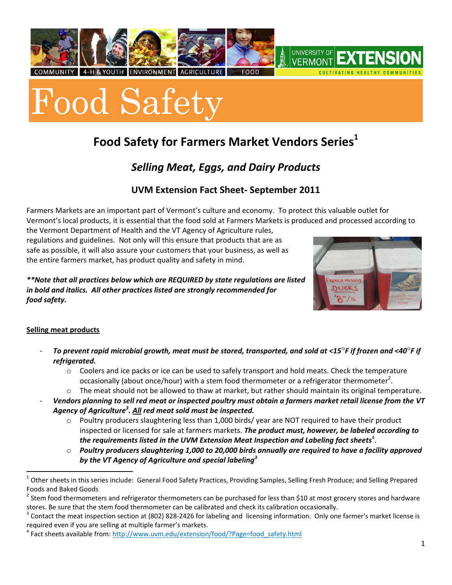



# **Food Safety for Farmers Market Vendors Series<sup>1</sup>**

## *Selling Meat, Eggs, and Dairy Products*

### **UVM Extension Fact Sheet- September 2011**

Farmers Markets are an important part of Vermont's culture and economy. To protect this valuable outlet for Vermont's local products, it is essential that the food sold at Farmers Markets is produced and processed according to

the Vermont Department of Health and the VT Agency of Agriculture rules, regulations and guidelines. Not only will this ensure that products that are as safe as possible, it will also assure your customers that your business, as well as the entire farmers market, has product quality and safety in mind.

*\*\*Note that all practices below which are REQUIRED by state regulations are listed in bold and italics. All other practices listed are strongly recommended for food safety.* 



#### **Selling meat products**

- *To prevent rapid microbial growth, meat must be stored, transported, and sold at <15F if frozen and <40F if refrigerated.*
	- $\circ$  Coolers and ice packs or ice can be used to safely transport and hold meats. Check the temperature occasionally (about once/hour) with a stem food thermometer or a refrigerator thermometer<sup>2</sup>.
	- $\circ$  The meat should not be allowed to thaw at market, but rather should maintain its original temperature.
- *Vendors planning to sell red meat or inspected poultry must obtain a farmers market retail license from the VT Agency of Agriculture<sup>3</sup> . All red meat sold must be inspected.* 
	- $\circ$  Poultry producers slaughtering less than 1,000 birds/ year are NOT required to have their product inspected or licensed for sale at farmers markets. *The product must, however, be labeled according to*  the requirements listed in the UVM Extension Meat Inspection and Labeling fact sheets $\pmb{^4}.$
	- o *Poultry producers slaughtering 1,000 to 20,000 birds annually are required to have a facility approved by the VT Agency of Agriculture and special labeling<sup>3</sup>*

 1 Other sheets in this series include: General Food Safety Practices, Providing Samples, Selling Fresh Produce; and Selling Prepared Foods and Baked Goods

 $^2$  Stem food thermometers and refrigerator thermometers can be purchased for less than \$10 at most grocery stores and hardware stores. Be sure that the stem food thermometer can be calibrated and check its calibration occasionally.

<sup>3</sup> Contact the meat inspection section at (802) 828-2426 for labeling and licensing information. Only one farmer's market license is required even if you are selling at multiple farmer's markets.

<sup>&</sup>lt;sup>4</sup> Fact sheets available from: http://www.uvm.edu/extension/food/?Page=food\_safety.html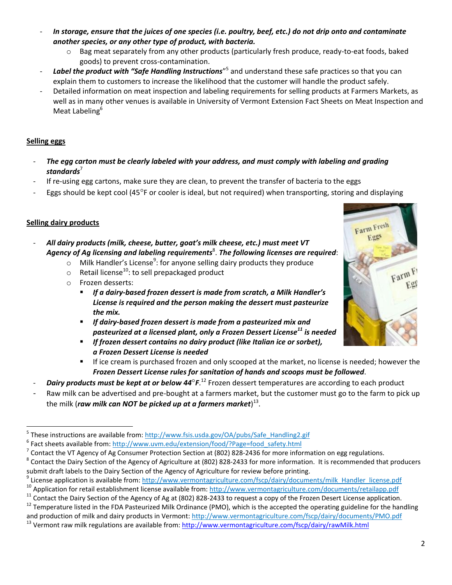- *In storage, ensure that the juices of one species (i.e. poultry, beef, etc.) do not drip onto and contaminate another species, or any other type of product, with bacteria.*
	- o Bag meat separately from any other products (particularly fresh produce, ready-to-eat foods, baked goods) to prevent cross-contamination.
- Label the product with "Safe Handling Instructions"<sup>5</sup> and understand these safe practices so that you can explain them to customers to increase the likelihood that the customer will handle the product safely.
- Detailed information on meat inspection and labeling requirements for selling products at Farmers Markets, as well as in many other venues is available in University of Vermont Extension Fact Sheets on Meat Inspection and Meat Labeling<sup>6</sup>

#### **Selling eggs**

 $\overline{a}$ 

- *The egg carton must be clearly labeled with your address, and must comply with labeling and grading*  standards<sup>7</sup>
- If re-using egg cartons, make sure they are clean, to prevent the transfer of bacteria to the eggs
- Eggs should be kept cool (45 $\degree$ F or cooler is ideal, but not required) when transporting, storing and displaying

#### **Selling dairy products**

- *All dairy products (milk, cheese, butter, goat's milk cheese, etc.) must meet VT*  Agency of Ag licensing and labeling requirements $^{\rm 8}$ . The following licenses are required:
	- $\circ$  Milk Handler's License<sup>9</sup>: for anyone selling dairy products they produce
	- $\circ$  Retail license<sup>10</sup>: to sell prepackaged product
	- o Frozen desserts:
		- *If a dairy-based frozen dessert is made from scratch, a Milk Handler's License is required and the person making the dessert must pasteurize the mix.*
		- *If dairy-based frozen dessert is made from a pasteurized mix and pasteurized at a licensed plant, only a Frozen Dessert License<sup>11</sup> is needed*
		- *If frozen dessert contains no dairy product (like Italian ice or sorbet), a Frozen Dessert License is needed*
		- If ice cream is purchased frozen and only scooped at the market, no license is needed; however the *Frozen Dessert License rules for sanitation of hands and scoops must be followed*.
- **Dairy products must be kept at or below 44<sup>°</sup>F.<sup>12</sup> Frozen dessert temperatures are according to each product**
- Raw milk can be advertised and pre-bought at a farmers market, but the customer must go to the farm to pick up the milk (*raw milk can NOT be picked up at a farmers market*) 13 .



<sup>&</sup>lt;sup>5</sup> These instructions are available from: http://www.fsis.usda.gov/OA/pubs/Safe\_Handling2.gif

<sup>&</sup>lt;sup>6</sup> Fact sheets available from: http://www.uvm.edu/extension/food/?Page=food\_safety.html

 $^7$  Contact the VT Agency of Ag Consumer Protection Section at (802) 828-2436 for more information on egg regulations.

<sup>&</sup>lt;sup>8</sup> Contact the Dairy Section of the Agency of Agriculture at (802) 828-2433 for more information. It is recommended that producers submit draft labels to the Dairy Section of the Agency of Agriculture for review before printing.

<sup>&</sup>lt;sup>9</sup> License application is available from: <u>http://www.vermontagriculture.com/fscp/dairy/documents/milk\_Handler\_license.pdf</u>

 $10$  Application for retail establishment license available from: http://www.vermontagriculture.com/documents/retailapp.pdf

<sup>&</sup>lt;sup>11</sup> Contact the Dairy Section of the Agency of Ag at (802) 828-2433 to request a copy of the Frozen Desert License application.

<sup>&</sup>lt;sup>12</sup> Temperature listed in the FDA Pasteurized Milk Ordinance (PMO), which is the accepted the operating guideline for the handling and production of milk and dairy products in Vermont: http://www.vermontagriculture.com/fscp/dairy/documents/PMO.pdf

<sup>&</sup>lt;sup>13</sup> Vermont raw milk regulations are available from[: http://www.vermontagriculture.com/fscp/dairy/rawMilk.html](http://www.vermontagriculture.com/fscp/dairy/rawMilk.html)